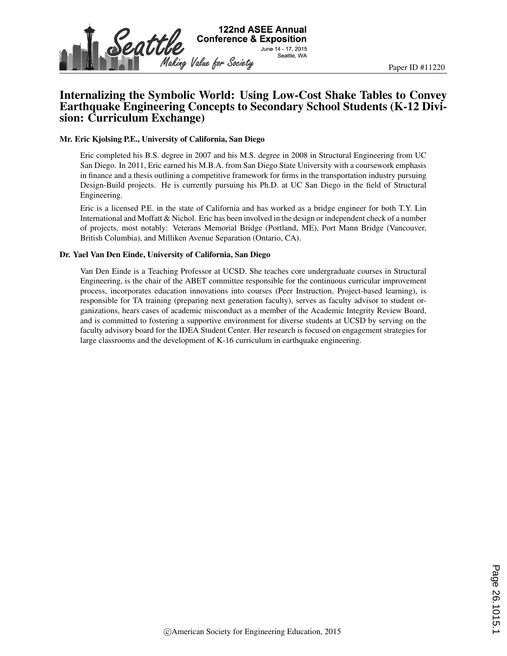

# Internalizing the Symbolic World: Using Low-Cost Shake Tables to Convey Earthquake Engineering Concepts to Secondary School Students (K-12 Division: Curriculum Exchange)

#### Mr. Eric Kjolsing P.E., University of California, San Diego

Eric completed his B.S. degree in 2007 and his M.S. degree in 2008 in Structural Engineering from UC San Diego. In 2011, Eric earned his M.B.A. from San Diego State University with a coursework emphasis in finance and a thesis outlining a competitive framework for firms in the transportation industry pursuing Design-Build projects. He is currently pursuing his Ph.D. at UC San Diego in the field of Structural Engineering.

Eric is a licensed P.E. in the state of California and has worked as a bridge engineer for both T.Y. Lin International and Moffatt & Nichol. Eric has been involved in the design or independent check of a number of projects, most notably: Veterans Memorial Bridge (Portland, ME), Port Mann Bridge (Vancouver, British Columbia), and Milliken Avenue Separation (Ontario, CA).

#### Dr. Yael Van Den Einde, University of California, San Diego

Van Den Einde is a Teaching Professor at UCSD. She teaches core undergraduate courses in Structural Engineering, is the chair of the ABET committee responsible for the continuous curricular improvement process, incorporates education innovations into courses (Peer Instruction, Project-based learning), is responsible for TA training (preparing next generation faculty), serves as faculty advisor to student organizations, hears cases of academic misconduct as a member of the Academic Integrity Review Board, and is committed to fostering a supportive environment for diverse students at UCSD by serving on the faculty advisory board for the IDEA Student Center. Her research is focused on engagement strategies for large classrooms and the development of K-16 curriculum in earthquake engineering.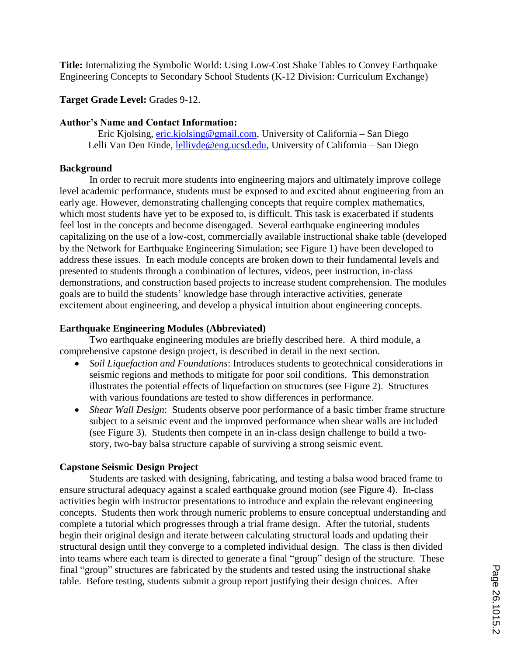**Title:** Internalizing the Symbolic World: Using Low-Cost Shake Tables to Convey Earthquake Engineering Concepts to Secondary School Students (K-12 Division: Curriculum Exchange)

## **Target Grade Level:** Grades 9-12.

### **Author's Name and Contact Information:**

Eric Kjolsing, *eric.kjolsing@gmail.com*, University of California – San Diego Lelli Van Den Einde, lellivde@eng.ucsd.edu, University of California – San Diego

## **Background**

In order to recruit more students into engineering majors and ultimately improve college level academic performance, students must be exposed to and excited about engineering from an early age. However, demonstrating challenging concepts that require complex mathematics, which most students have yet to be exposed to, is difficult. This task is exacerbated if students feel lost in the concepts and become disengaged. Several earthquake engineering modules capitalizing on the use of a low-cost, commercially available instructional shake table (developed by the Network for Earthquake Engineering Simulation; see Figure 1) have been developed to address these issues. In each module concepts are broken down to their fundamental levels and presented to students through a combination of lectures, videos, peer instruction, in-class demonstrations, and construction based projects to increase student comprehension. The modules goals are to build the students' knowledge base through interactive activities, generate excitement about engineering, and develop a physical intuition about engineering concepts.

### **Earthquake Engineering Modules (Abbreviated)**

Two earthquake engineering modules are briefly described here. A third module, a comprehensive capstone design project, is described in detail in the next section.

- *Soil Liquefaction and Foundations*: Introduces students to geotechnical considerations in seismic regions and methods to mitigate for poor soil conditions. This demonstration illustrates the potential effects of liquefaction on structures (see Figure 2). Structures with various foundations are tested to show differences in performance.
- *Shear Wall Design*: Students observe poor performance of a basic timber frame structure subject to a seismic event and the improved performance when shear walls are included (see Figure 3). Students then compete in an in-class design challenge to build a twostory, two-bay balsa structure capable of surviving a strong seismic event.

## **Capstone Seismic Design Project**

Students are tasked with designing, fabricating, and testing a balsa wood braced frame to ensure structural adequacy against a scaled earthquake ground motion (see Figure 4). In-class activities begin with instructor presentations to introduce and explain the relevant engineering concepts. Students then work through numeric problems to ensure conceptual understanding and complete a tutorial which progresses through a trial frame design. After the tutorial, students begin their original design and iterate between calculating structural loads and updating their structural design until they converge to a completed individual design. The class is then divided into teams where each team is directed to generate a final "group" design of the structure. These final "group" structures are fabricated by the students and tested using the instructional shake table. Before testing, students submit a group report justifying their design choices. After